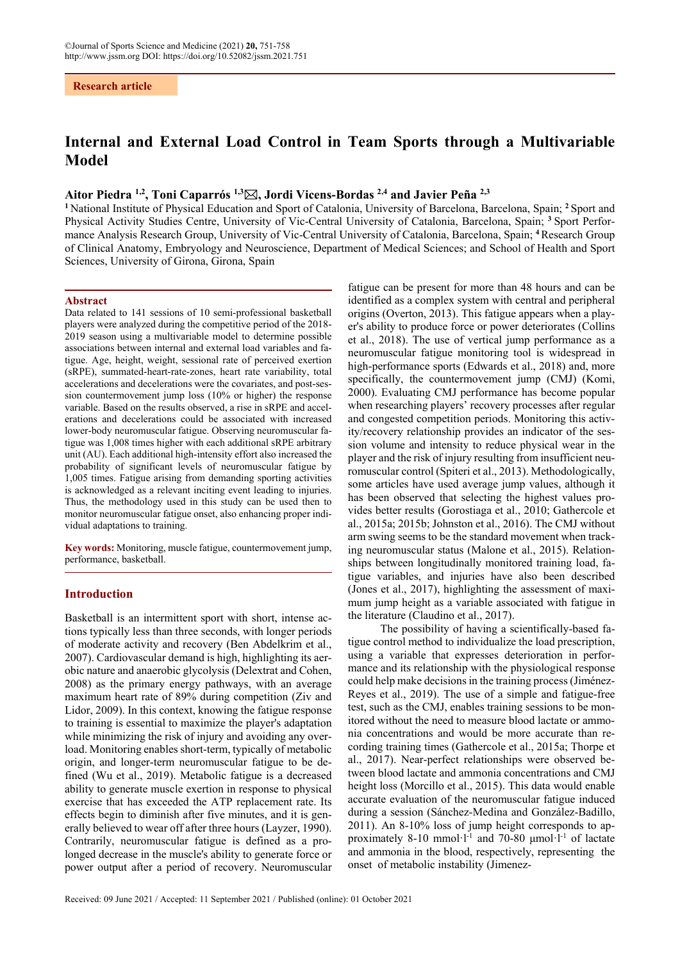**Research article**

# **Internal and External Load Control in Team Sports through a Multivariable Model**

# **Aitor Piedra 1,2, Toni Caparrós 1,3, Jordi Vicens-Bordas 2,4 and Javier Peña 2,3**

**<sup>1</sup>** National Institute of Physical Education and Sport of Catalonia, University of Barcelona, Barcelona, Spain; **<sup>2</sup>** Sport and Physical Activity Studies Centre, University of Vic-Central University of Catalonia, Barcelona, Spain; **<sup>3</sup>** Sport Performance Analysis Research Group, University of Vic-Central University of Catalonia, Barcelona, Spain; **<sup>4</sup>**Research Group of Clinical Anatomy, Embryology and Neuroscience, Department of Medical Sciences; and School of Health and Sport Sciences, University of Girona, Girona, Spain

#### **Abstract**

Data related to 141 sessions of 10 semi-professional basketball players were analyzed during the competitive period of the 2018- 2019 season using a multivariable model to determine possible associations between internal and external load variables and fatigue. Age, height, weight, sessional rate of perceived exertion (sRPE), summated-heart-rate-zones, heart rate variability, total accelerations and decelerations were the covariates, and post-session countermovement jump loss (10% or higher) the response variable. Based on the results observed, a rise in sRPE and accelerations and decelerations could be associated with increased lower-body neuromuscular fatigue. Observing neuromuscular fatigue was 1,008 times higher with each additional sRPE arbitrary unit (AU). Each additional high-intensity effort also increased the probability of significant levels of neuromuscular fatigue by 1,005 times. Fatigue arising from demanding sporting activities is acknowledged as a relevant inciting event leading to injuries. Thus, the methodology used in this study can be used then to monitor neuromuscular fatigue onset, also enhancing proper individual adaptations to training.

**Key words:** Monitoring, muscle fatigue, countermovement jump, performance, basketball.

#### **Introduction**

Basketball is an intermittent sport with short, intense actions typically less than three seconds, with longer periods of moderate activity and recovery (Ben Abdelkrim et al., 2007). Cardiovascular demand is high, highlighting its aerobic nature and anaerobic glycolysis (Delextrat and Cohen, 2008) as the primary energy pathways, with an average maximum heart rate of 89% during competition (Ziv and Lidor, 2009). In this context, knowing the fatigue response to training is essential to maximize the player's adaptation while minimizing the risk of injury and avoiding any overload. Monitoring enables short-term, typically of metabolic origin, and longer-term neuromuscular fatigue to be defined (Wu et al., 2019). Metabolic fatigue is a decreased ability to generate muscle exertion in response to physical exercise that has exceeded the ATP replacement rate. Its effects begin to diminish after five minutes, and it is generally believed to wear off after three hours (Layzer, 1990). Contrarily, neuromuscular fatigue is defined as a prolonged decrease in the muscle's ability to generate force or power output after a period of recovery. Neuromuscular

fatigue can be present for more than 48 hours and can be identified as a complex system with central and peripheral origins (Overton, 2013). This fatigue appears when a player's ability to produce force or power deteriorates (Collins et al., 2018). The use of vertical jump performance as a neuromuscular fatigue monitoring tool is widespread in high-performance sports (Edwards et al., 2018) and, more specifically, the countermovement jump (CMJ) (Komi, 2000). Evaluating CMJ performance has become popular when researching players' recovery processes after regular and congested competition periods. Monitoring this activity/recovery relationship provides an indicator of the session volume and intensity to reduce physical wear in the player and the risk of injury resulting from insufficient neuromuscular control (Spiteri et al., 2013). Methodologically, some articles have used average jump values, although it has been observed that selecting the highest values provides better results (Gorostiaga et al., 2010; Gathercole et al., 2015a; 2015b; Johnston et al., 2016). The CMJ without arm swing seems to be the standard movement when tracking neuromuscular status (Malone et al., 2015). Relationships between longitudinally monitored training load, fatigue variables, and injuries have also been described (Jones et al., 2017), highlighting the assessment of maximum jump height as a variable associated with fatigue in the literature (Claudino et al., 2017).

The possibility of having a scientifically-based fatigue control method to individualize the load prescription, using a variable that expresses deterioration in performance and its relationship with the physiological response could help make decisions in the training process (Jiménez-Reyes et al., 2019). The use of a simple and fatigue-free test, such as the CMJ, enables training sessions to be monitored without the need to measure blood lactate or ammonia concentrations and would be more accurate than recording training times (Gathercole et al., 2015a; Thorpe et al., 2017). Near-perfect relationships were observed between blood lactate and ammonia concentrations and CMJ height loss (Morcillo et al., 2015). This data would enable accurate evaluation of the neuromuscular fatigue induced during a session (Sánchez-Medina and González-Badillo, 2011). An 8-10% loss of jump height corresponds to approximately 8-10 mmol $\cdot$ l<sup>-1</sup> and 70-80 μmol $\cdot$ l<sup>-1</sup> of lactate and ammonia in the blood, respectively, representing the onset of metabolic instability (Jimenez-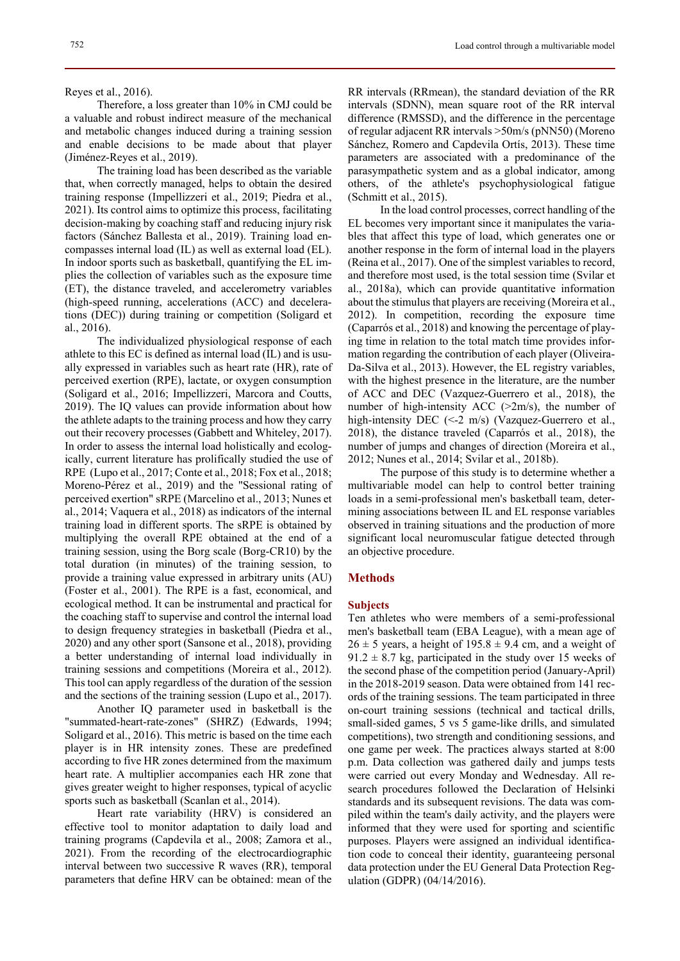Therefore, a loss greater than 10% in CMJ could be a valuable and robust indirect measure of the mechanical and metabolic changes induced during a training session and enable decisions to be made about that player (Jiménez-Reyes et al., 2019).

The training load has been described as the variable that, when correctly managed, helps to obtain the desired training response (Impellizzeri et al., 2019; Piedra et al., 2021). Its control aims to optimize this process, facilitating decision-making by coaching staff and reducing injury risk factors (Sánchez Ballesta et al., 2019). Training load encompasses internal load (IL) as well as external load (EL). In indoor sports such as basketball, quantifying the EL implies the collection of variables such as the exposure time (ET), the distance traveled, and accelerometry variables (high-speed running, accelerations (ACC) and decelerations (DEC)) during training or competition (Soligard et al., 2016).

The individualized physiological response of each athlete to this EC is defined as internal load (IL) and is usually expressed in variables such as heart rate (HR), rate of perceived exertion (RPE), lactate, or oxygen consumption (Soligard et al., 2016; Impellizzeri, Marcora and Coutts, 2019). The IQ values can provide information about how the athlete adapts to the training process and how they carry out their recovery processes (Gabbett and Whiteley, 2017). In order to assess the internal load holistically and ecologically, current literature has prolifically studied the use of RPE (Lupo et al., 2017; Conte et al., 2018; Fox et al., 2018; Moreno-Pérez et al., 2019) and the "Sessional rating of perceived exertion" sRPE (Marcelino et al., 2013; Nunes et al., 2014; Vaquera et al., 2018) as indicators of the internal training load in different sports. The sRPE is obtained by multiplying the overall RPE obtained at the end of a training session, using the Borg scale (Borg-CR10) by the total duration (in minutes) of the training session, to provide a training value expressed in arbitrary units (AU) (Foster et al., 2001). The RPE is a fast, economical, and ecological method. It can be instrumental and practical for the coaching staff to supervise and control the internal load to design frequency strategies in basketball (Piedra et al., 2020) and any other sport (Sansone et al., 2018), providing a better understanding of internal load individually in training sessions and competitions (Moreira et al., 2012). This tool can apply regardless of the duration of the session and the sections of the training session (Lupo et al., 2017).

Another IQ parameter used in basketball is the "summated-heart-rate-zones" (SHRZ) (Edwards, 1994; Soligard et al., 2016). This metric is based on the time each player is in HR intensity zones. These are predefined according to five HR zones determined from the maximum heart rate. A multiplier accompanies each HR zone that gives greater weight to higher responses, typical of acyclic sports such as basketball (Scanlan et al., 2014).

Heart rate variability (HRV) is considered an effective tool to monitor adaptation to daily load and training programs (Capdevila et al., 2008; Zamora et al., 2021). From the recording of the electrocardiographic interval between two successive R waves (RR), temporal parameters that define HRV can be obtained: mean of the RR intervals (RRmean), the standard deviation of the RR intervals (SDNN), mean square root of the RR interval difference (RMSSD), and the difference in the percentage of regular adjacent RR intervals >50m/s (pNN50) (Moreno Sánchez, Romero and Capdevila Ortís, 2013). These time parameters are associated with a predominance of the parasympathetic system and as a global indicator, among others, of the athlete's psychophysiological fatigue (Schmitt et al., 2015).

In the load control processes, correct handling of the EL becomes very important since it manipulates the variables that affect this type of load, which generates one or another response in the form of internal load in the players (Reina et al., 2017). One of the simplest variables to record, and therefore most used, is the total session time (Svilar et al., 2018a), which can provide quantitative information about the stimulus that players are receiving (Moreira et al., 2012). In competition, recording the exposure time (Caparrós et al., 2018) and knowing the percentage of playing time in relation to the total match time provides information regarding the contribution of each player (Oliveira-Da-Silva et al., 2013). However, the EL registry variables, with the highest presence in the literature, are the number of ACC and DEC (Vazquez-Guerrero et al., 2018), the number of high-intensity ACC  $(>2m/s)$ , the number of high-intensity DEC (<-2 m/s) (Vazquez-Guerrero et al., 2018), the distance traveled (Caparrós et al., 2018), the number of jumps and changes of direction (Moreira et al., 2012; Nunes et al., 2014; Svilar et al., 2018b).

The purpose of this study is to determine whether a multivariable model can help to control better training loads in a semi-professional men's basketball team, determining associations between IL and EL response variables observed in training situations and the production of more significant local neuromuscular fatigue detected through an objective procedure.

## **Methods**

### **Subjects**

Ten athletes who were members of a semi-professional men's basketball team (EBA League), with a mean age of  $26 \pm 5$  years, a height of 195.8  $\pm$  9.4 cm, and a weight of  $91.2 \pm 8.7$  kg, participated in the study over 15 weeks of the second phase of the competition period (January-April) in the 2018-2019 season. Data were obtained from 141 records of the training sessions. The team participated in three on-court training sessions (technical and tactical drills, small-sided games, 5 vs 5 game-like drills, and simulated competitions), two strength and conditioning sessions, and one game per week. The practices always started at 8:00 p.m. Data collection was gathered daily and jumps tests were carried out every Monday and Wednesday. All research procedures followed the Declaration of Helsinki standards and its subsequent revisions. The data was compiled within the team's daily activity, and the players were informed that they were used for sporting and scientific purposes. Players were assigned an individual identification code to conceal their identity, guaranteeing personal data protection under the EU General Data Protection Regulation (GDPR) (04/14/2016).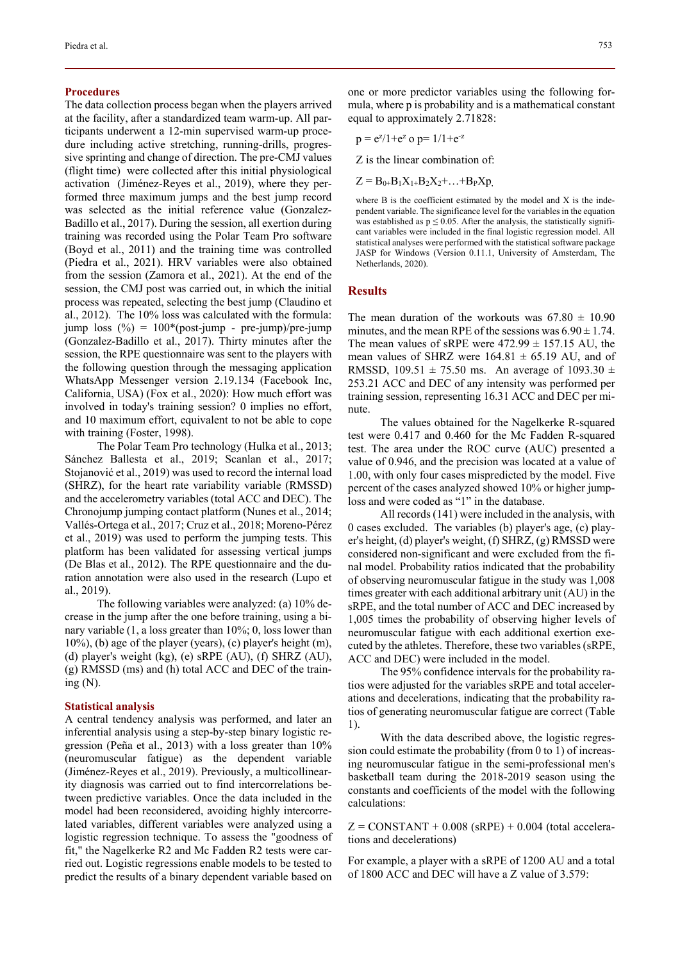#### **Procedures**

The data collection process began when the players arrived at the facility, after a standardized team warm-up. All participants underwent a 12-min supervised warm-up procedure including active stretching, running-drills, progressive sprinting and change of direction. The pre-CMJ values (flight time) were collected after this initial physiological activation (Jiménez-Reyes et al., 2019), where they performed three maximum jumps and the best jump record was selected as the initial reference value (Gonzalez-Badillo et al., 2017). During the session, all exertion during training was recorded using the Polar Team Pro software (Boyd et al., 2011) and the training time was controlled (Piedra et al., 2021). HRV variables were also obtained from the session (Zamora et al., 2021). At the end of the session, the CMJ post was carried out, in which the initial process was repeated, selecting the best jump (Claudino et al., 2012). The 10% loss was calculated with the formula: jump loss (%) = 100\*(post-jump - pre-jump)/pre-jump (Gonzalez-Badillo et al., 2017). Thirty minutes after the session, the RPE questionnaire was sent to the players with the following question through the messaging application WhatsApp Messenger version 2.19.134 (Facebook Inc, California, USA) (Fox et al., 2020): How much effort was involved in today's training session? 0 implies no effort, and 10 maximum effort, equivalent to not be able to cope with training (Foster, 1998).

The Polar Team Pro technology (Hulka et al., 2013; Sánchez Ballesta et al., 2019; Scanlan et al., 2017; Stojanović et al., 2019) was used to record the internal load (SHRZ), for the heart rate variability variable (RMSSD) and the accelerometry variables (total ACC and DEC). The Chronojump jumping contact platform (Nunes et al., 2014; Vallés-Ortega et al., 2017; Cruz et al., 2018; Moreno-Pérez et al., 2019) was used to perform the jumping tests. This platform has been validated for assessing vertical jumps (De Blas et al., 2012). The RPE questionnaire and the duration annotation were also used in the research (Lupo et al., 2019).

The following variables were analyzed: (a) 10% decrease in the jump after the one before training, using a binary variable (1, a loss greater than 10%; 0, loss lower than 10%), (b) age of the player (years), (c) player's height (m), (d) player's weight (kg), (e) sRPE (AU), (f) SHRZ (AU), (g) RMSSD (ms) and (h) total ACC and DEC of the training  $(N)$ .

#### **Statistical analysis**

A central tendency analysis was performed, and later an inferential analysis using a step-by-step binary logistic regression (Peña et al., 2013) with a loss greater than 10% (neuromuscular fatigue) as the dependent variable (Jiménez-Reyes et al., 2019). Previously, a multicollinearity diagnosis was carried out to find intercorrelations between predictive variables. Once the data included in the model had been reconsidered, avoiding highly intercorrelated variables, different variables were analyzed using a logistic regression technique. To assess the "goodness of fit," the Nagelkerke R2 and Mc Fadden R2 tests were carried out. Logistic regressions enable models to be tested to predict the results of a binary dependent variable based on one or more predictor variables using the following formula, where p is probability and is a mathematical constant equal to approximately 2.71828:

$$
p = e^{z}/1 + e^{z}
$$
 o  $p = 1/1 + e^{-z}$ 

Z is the linear combination of:

$$
Z = B_{0+}B_1X_{1+}B_2X_2 + \ldots + B_PXp,
$$

where B is the coefficient estimated by the model and X is the independent variable. The significance level for the variables in the equation was established as  $p \le 0.05$ . After the analysis, the statistically significant variables were included in the final logistic regression model. All statistical analyses were performed with the statistical software package JASP for Windows (Version 0.11.1, University of Amsterdam, The Netherlands, 2020).

## **Results**

The mean duration of the workouts was  $67.80 \pm 10.90$ minutes, and the mean RPE of the sessions was  $6.90 \pm 1.74$ . The mean values of sRPE were  $472.99 \pm 157.15$  AU, the mean values of SHRZ were  $164.81 \pm 65.19$  AU, and of RMSSD,  $109.51 \pm 75.50$  ms. An average of  $1093.30 \pm 75.50$ 253.21 ACC and DEC of any intensity was performed per training session, representing 16.31 ACC and DEC per minute.

The values obtained for the Nagelkerke R-squared test were 0.417 and 0.460 for the Mc Fadden R-squared test. The area under the ROC curve (AUC) presented a value of 0.946, and the precision was located at a value of 1.00, with only four cases mispredicted by the model. Five percent of the cases analyzed showed 10% or higher jumploss and were coded as "1" in the database.

All records (141) were included in the analysis, with 0 cases excluded. The variables (b) player's age, (c) player's height, (d) player's weight, (f) SHRZ, (g) RMSSD were considered non-significant and were excluded from the final model. Probability ratios indicated that the probability of observing neuromuscular fatigue in the study was 1,008 times greater with each additional arbitrary unit (AU) in the sRPE, and the total number of ACC and DEC increased by 1,005 times the probability of observing higher levels of neuromuscular fatigue with each additional exertion executed by the athletes. Therefore, these two variables (sRPE, ACC and DEC) were included in the model.

The 95% confidence intervals for the probability ratios were adjusted for the variables sRPE and total accelerations and decelerations, indicating that the probability ratios of generating neuromuscular fatigue are correct (Table 1).

With the data described above, the logistic regression could estimate the probability (from 0 to 1) of increasing neuromuscular fatigue in the semi-professional men's basketball team during the 2018-2019 season using the constants and coefficients of the model with the following calculations:

 $Z = \text{CONSTANT} + 0.008 \text{ (sRPE)} + 0.004 \text{ (total accelera-}$ tions and decelerations)

For example, a player with a sRPE of 1200 AU and a total of 1800 ACC and DEC will have a Z value of 3.579: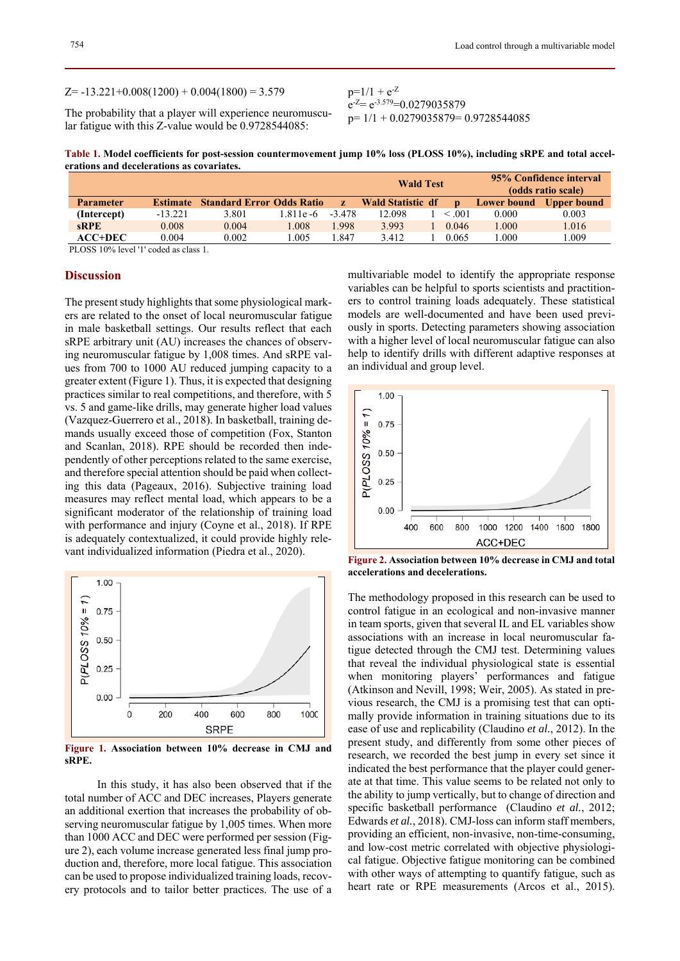#### $Z=-13.221+0.008(1200) + 0.004(1800) = 3.579$

The probability that a player will experience neuromuscular fatigue with this Z-value would be 0.9728544085:

 $p=1/1 + e^{-Z}$  $e^{-Z}=e^{-3.579}=0.0279035879$ p= 1/1 + 0.0279035879= 0.9728544085

**Table 1. Model coefficients for post-session countermovement jump 10% loss (PLOSS 10%), including sRPE and total accelerations and decelerations as covariates.** 

|                                                                                                                                                                                                                                                                                                                                                                                                                    |                 |                                  |            |              | <b>Wald Test</b>         |  |        | 95% Confidence interval<br>(odds ratio scale) |             |
|--------------------------------------------------------------------------------------------------------------------------------------------------------------------------------------------------------------------------------------------------------------------------------------------------------------------------------------------------------------------------------------------------------------------|-----------------|----------------------------------|------------|--------------|--------------------------|--|--------|-----------------------------------------------|-------------|
| <b>Parameter</b>                                                                                                                                                                                                                                                                                                                                                                                                   | <b>Estimate</b> | <b>Standard Error Odds Ratio</b> |            | $\mathbf{z}$ | <b>Wald Statistic df</b> |  |        | <b>Lower bound</b>                            | Upper bound |
| (Intercept)                                                                                                                                                                                                                                                                                                                                                                                                        | $-13.221$       | 3.801                            | 1.811e - 6 | $-3.478$     | 12.098                   |  | < 0.01 | 0.000                                         | 0.003       |
| <b>sRPE</b>                                                                                                                                                                                                                                                                                                                                                                                                        | 0.008           | 0.004                            | .008       | .998         | 3.993                    |  | 0.046  | 1.000                                         | 1.016       |
| $ACC+DEC$                                                                                                                                                                                                                                                                                                                                                                                                          | 0.004           | 0.002                            | .005       | .847         | 3.412                    |  | 0.065  | $000$ .                                       | .009        |
| $\mathbf{D}^{\mathsf{T}}$ $\mathbf{O}(\mathbf{C} \mathbf{C} \mathbf{1})$ $\mathbf{O}(\mathbf{C} \mathbf{1} \mathbf{C} \mathbf{C} \mathbf{1} \mathbf{I} \mathbf{1} \mathbf{1} \mathbf{1} \mathbf{1} \mathbf{1} \mathbf{1} \mathbf{1} \mathbf{1} \mathbf{1} \mathbf{1} \mathbf{1} \mathbf{1} \mathbf{1} \mathbf{1} \mathbf{1} \mathbf{1} \mathbf{1} \mathbf{1} \mathbf{1} \mathbf{1} \mathbf{1} \mathbf{1} \mathbf{$ |                 |                                  |            |              |                          |  |        |                                               |             |

PLOSS 10% level '1' coded as class 1.

### **Discussion**

The present study highlights that some physiological markers are related to the onset of local neuromuscular fatigue in male basketball settings. Our results reflect that each sRPE arbitrary unit (AU) increases the chances of observing neuromuscular fatigue by 1,008 times. And sRPE values from 700 to 1000 AU reduced jumping capacity to a greater extent (Figure 1). Thus, it is expected that designing practices similar to real competitions, and therefore, with 5 vs. 5 and game-like drills, may generate higher load values (Vazquez-Guerrero et al., 2018). In basketball, training demands usually exceed those of competition (Fox, Stanton and Scanlan, 2018). RPE should be recorded then independently of other perceptions related to the same exercise, and therefore special attention should be paid when collecting this data (Pageaux, 2016). Subjective training load measures may reflect mental load, which appears to be a significant moderator of the relationship of training load with performance and injury (Coyne et al., 2018). If RPE is adequately contextualized, it could provide highly relevant individualized information (Piedra et al., 2020).



**Figure 1. Association between 10% decrease in CMJ and sRPE.** 

In this study, it has also been observed that if the total number of ACC and DEC increases, Players generate an additional exertion that increases the probability of observing neuromuscular fatigue by 1,005 times. When more than 1000 ACC and DEC were performed per session (Figure 2), each volume increase generated less final jump production and, therefore, more local fatigue. This association can be used to propose individualized training loads, recovery protocols and to tailor better practices. The use of a multivariable model to identify the appropriate response variables can be helpful to sports scientists and practitioners to control training loads adequately. These statistical models are well-documented and have been used previously in sports. Detecting parameters showing association with a higher level of local neuromuscular fatigue can also help to identify drills with different adaptive responses at an individual and group level.



**Figure 2. Association between 10% decrease in CMJ and total accelerations and decelerations.** 

The methodology proposed in this research can be used to control fatigue in an ecological and non-invasive manner in team sports, given that several IL and EL variables show associations with an increase in local neuromuscular fatigue detected through the CMJ test. Determining values that reveal the individual physiological state is essential when monitoring players' performances and fatigue (Atkinson and Nevill, 1998; Weir, 2005). As stated in previous research, the CMJ is a promising test that can optimally provide information in training situations due to its ease of use and replicability (Claudino *et al.*, 2012). In the present study, and differently from some other pieces of research, we recorded the best jump in every set since it indicated the best performance that the player could generate at that time. This value seems to be related not only to the ability to jump vertically, but to change of direction and specific basketball performance (Claudino *et al.*, 2012; Edwards *et al.*, 2018). CMJ-loss can inform staff members, providing an efficient, non-invasive, non-time-consuming, and low-cost metric correlated with objective physiological fatigue. Objective fatigue monitoring can be combined with other ways of attempting to quantify fatigue, such as heart rate or RPE measurements (Arcos et al., 2015).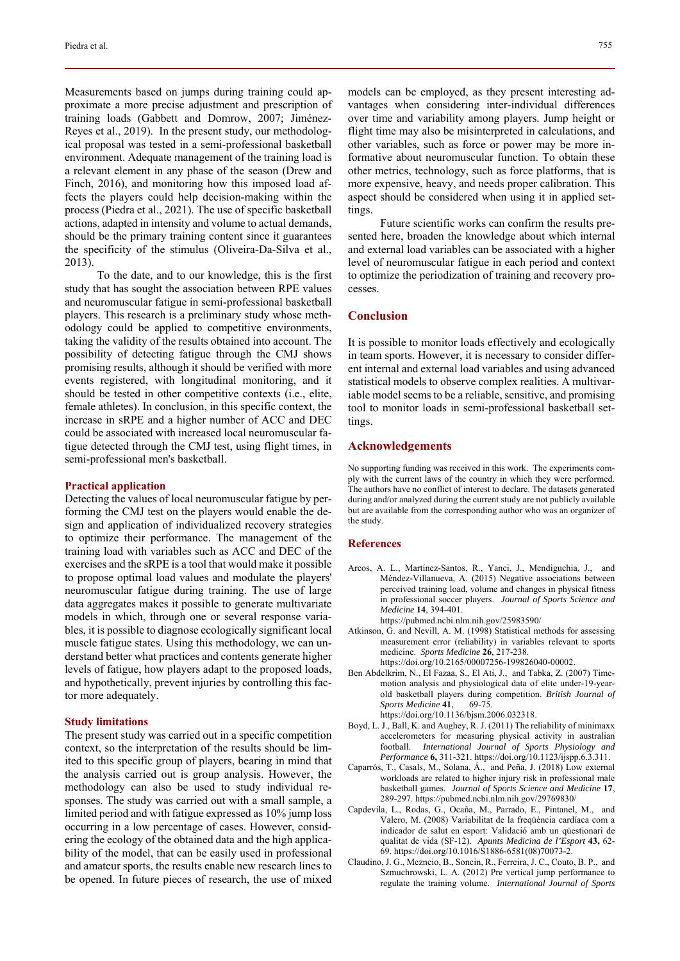Measurements based on jumps during training could approximate a more precise adjustment and prescription of training loads (Gabbett and Domrow, 2007; Jiménez-Reyes et al., 2019). In the present study, our methodological proposal was tested in a semi-professional basketball environment. Adequate management of the training load is a relevant element in any phase of the season (Drew and Finch, 2016), and monitoring how this imposed load affects the players could help decision-making within the process (Piedra et al., 2021). The use of specific basketball actions, adapted in intensity and volume to actual demands, should be the primary training content since it guarantees the specificity of the stimulus (Oliveira-Da-Silva et al., 2013).

To the date, and to our knowledge, this is the first study that has sought the association between RPE values and neuromuscular fatigue in semi-professional basketball players. This research is a preliminary study whose methodology could be applied to competitive environments, taking the validity of the results obtained into account. The possibility of detecting fatigue through the CMJ shows promising results, although it should be verified with more events registered, with longitudinal monitoring, and it should be tested in other competitive contexts (i.e., elite, female athletes). In conclusion, in this specific context, the increase in sRPE and a higher number of ACC and DEC could be associated with increased local neuromuscular fatigue detected through the CMJ test, using flight times, in semi-professional men's basketball.

#### **Practical application**

Detecting the values of local neuromuscular fatigue by performing the CMJ test on the players would enable the design and application of individualized recovery strategies to optimize their performance. The management of the training load with variables such as ACC and DEC of the exercises and the sRPE is a tool that would make it possible to propose optimal load values and modulate the players' neuromuscular fatigue during training. The use of large data aggregates makes it possible to generate multivariate models in which, through one or several response variables, it is possible to diagnose ecologically significant local muscle fatigue states. Using this methodology, we can understand better what practices and contents generate higher levels of fatigue, how players adapt to the proposed loads, and hypothetically, prevent injuries by controlling this factor more adequately.

#### **Study limitations**

The present study was carried out in a specific competition context, so the interpretation of the results should be limited to this specific group of players, bearing in mind that the analysis carried out is group analysis. However, the methodology can also be used to study individual responses. The study was carried out with a small sample, a limited period and with fatigue expressed as 10% jump loss occurring in a low percentage of cases. However, considering the ecology of the obtained data and the high applicability of the model, that can be easily used in professional and amateur sports, the results enable new research lines to be opened. In future pieces of research, the use of mixed models can be employed, as they present interesting advantages when considering inter-individual differences over time and variability among players. Jump height or flight time may also be misinterpreted in calculations, and other variables, such as force or power may be more informative about neuromuscular function. To obtain these other metrics, technology, such as force platforms, that is more expensive, heavy, and needs proper calibration. This aspect should be considered when using it in applied settings.

Future scientific works can confirm the results presented here, broaden the knowledge about which internal and external load variables can be associated with a higher level of neuromuscular fatigue in each period and context to optimize the periodization of training and recovery processes.

### **Conclusion**

It is possible to monitor loads effectively and ecologically in team sports. However, it is necessary to consider different internal and external load variables and using advanced statistical models to observe complex realities. A multivariable model seems to be a reliable, sensitive, and promising tool to monitor loads in semi-professional basketball settings.

## **Acknowledgements**

No supporting funding was received in this work. The experiments comply with the current laws of the country in which they were performed. The authors have no conflict of interest to declare. The datasets generated during and/or analyzed during the current study are not publicly available but are available from the corresponding author who was an organizer of the study.

#### **References**

- Arcos, A. L., Martínez-Santos, R., Yanci, J., Mendiguchia, J., and Méndez-Villanueva, A. (2015) Negative associations between perceived training load, volume and changes in physical fitness in professional soccer players. *Journal of Sports Science and Medicine* **14**, 394-401.
	- https://pubmed.ncbi.nlm.nih.gov/25983590/
- Atkinson, G. and Nevill, A. M. (1998) Statistical methods for assessing measurement error (reliability) in variables relevant to sports medicine. *Sports Medicine* **26**, 217-238. https://doi.org/10.2165/00007256-199826040-00002.
- Ben Abdelkrim, N., El Fazaa, S., El Ati, J., and Tabka, Z. (2007) Timemotion analysis and physiological data of elite under-19-yearold basketball players during competition. *British Journal of Sports Medicine* **41**, 69-75. https://doi.org/10.1136/bjsm.2006.032318.
- Boyd, L. J., Ball, K. and Aughey, R. J. (2011) The reliability of minimaxx accelerometers for measuring physical activity in australian
- football. *International Journal of Sports Physiology and Performance* **6,** 311-321. https://doi.org/10.1123/ijspp.6.3.311. Caparrós, T., Casals, M., Solana, Á., and Peña, J. (2018) Low external workloads are related to higher injury risk in professional male basketball games. *Journal of Sports Science and Medicine* **17**,
- 289-297. https://pubmed.ncbi.nlm.nih.gov/29769830/ Capdevila, L., Rodas, G., Ocaña, M., Parrado, E., Pintanel, M., and Valero, M. (2008) Variabilitat de la freqüència cardíaca com a indicador de salut en esport: Validació amb un qüestionari de qualitat de vida (SF-12). *Apunts Medicina de l'Esport* **43,** 62-
- 69. https://doi.org/10.1016/S1886-6581(08)70073-2. Claudino, J. G., Mezncio, B., Soncin, R., Ferreira, J. C., Couto, B. P., and Szmuchrowski, L. A. (2012) Pre vertical jump performance to regulate the training volume. *International Journal of Sports*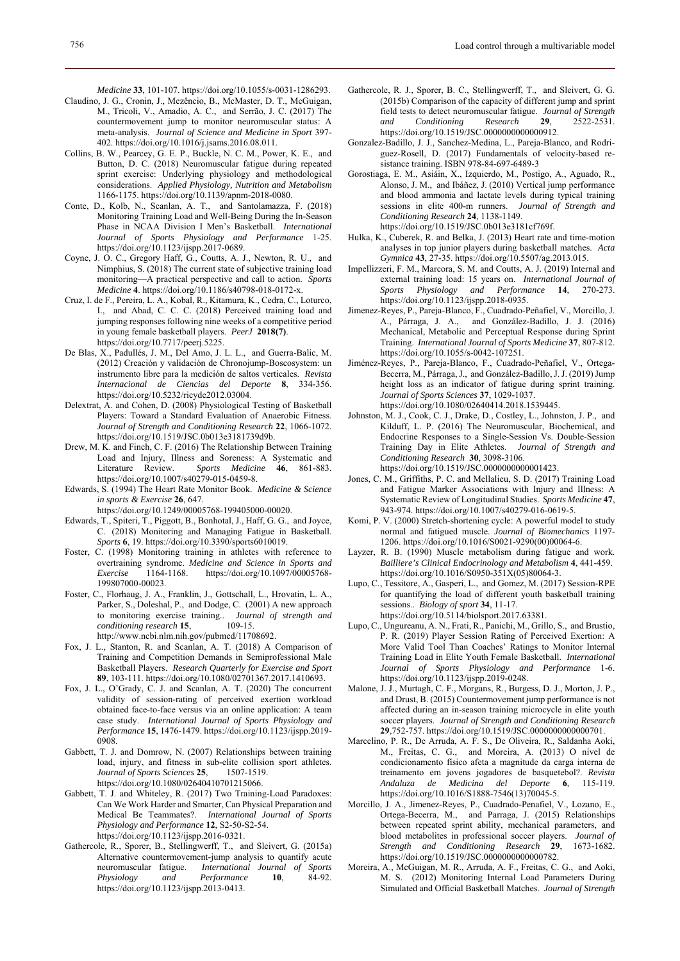*Medicine* **33**, 101-107. https://doi.org/10.1055/s-0031-1286293.

- Claudino, J. G., Cronin, J., Mezêncio, B., McMaster, D. T., McGuigan, M., Tricoli, V., Amadio, A. C., and Serrão, J. C. (2017) The countermovement jump to monitor neuromuscular status: A meta-analysis. *Journal of Science and Medicine in Sport* 397- 402. https://doi.org/10.1016/j.jsams.2016.08.011.
- Collins, B. W., Pearcey, G. E. P., Buckle, N. C. M., Power, K. E., and Button, D. C. (2018) Neuromuscular fatigue during repeated sprint exercise: Underlying physiology and methodological considerations. *Applied Physiology, Nutrition and Metabolism* 1166-1175. https://doi.org/10.1139/apnm-2018-0080.
- Conte, D., Kolb, N., Scanlan, A. T., and Santolamazza, F. (2018) Monitoring Training Load and Well-Being During the In-Season Phase in NCAA Division I Men's Basketball. *International Journal of Sports Physiology and Performance* 1-25. https://doi.org/10.1123/ijspp.2017-0689.
- Coyne, J. O. C., Gregory Haff, G., Coutts, A. J., Newton, R. U., and Nimphius, S. (2018) The current state of subjective training load monitoring—A practical perspective and call to action. *Sports Medicine* **4**. https://doi.org/10.1186/s40798-018-0172-x.
- Cruz, I. de F., Pereira, L. A., Kobal, R., Kitamura, K., Cedra, C., Loturco, I., and Abad, C. C. C. (2018) Perceived training load and jumping responses following nine weeks of a competitive period in young female basketball players. *PeerJ* **2018(7)**. https://doi.org/10.7717/peerj.5225.
- De Blas, X., Padullés, J. M., Del Amo, J. L. L., and Guerra-Balic, M. (2012) Creación y validación de Chronojump-Boscosystem: un instrumento libre para la medición de saltos verticales. *Revista Internacional de Ciencias del Deporte* **8**, 334-356. https://doi.org/10.5232/ricyde2012.03004.
- Delextrat, A. and Cohen, D. (2008) Physiological Testing of Basketball Players: Toward a Standard Evaluation of Anaerobic Fitness. *Journal of Strength and Conditioning Research* **22**, 1066-1072. https://doi.org/10.1519/JSC.0b013e3181739d9b.
- Drew, M. K. and Finch, C. F. (2016) The Relationship Between Training Load and Injury, Illness and Soreness: A Systematic and Literature Review. *Sports Medicine* **46**, 861-883. https://doi.org/10.1007/s40279-015-0459-8.
- Edwards, S. (1994) The Heart Rate Monitor Book. *Medicine & Science in sports & Exercise* **26**, 647.

https://doi.org/10.1249/00005768-199405000-00020.

- Edwards, T., Spiteri, T., Piggott, B., Bonhotal, J., Haff, G. G., and Joyce, C. (2018) Monitoring and Managing Fatigue in Basketball. *Sports* **6**, 19. https://doi.org/10.3390/sports6010019.
- Foster, C. (1998) Monitoring training in athletes with reference to overtraining syndrome. *Medicine and Science in Sports and Exercise* 1164-1168. https://doi.org/10.1097/00005768- 199807000-00023.
- Foster, C., Florhaug, J. A., Franklin, J., Gottschall, L., Hrovatin, L. A., Parker, S., Doleshal, P., and Dodge, C. (2001) A new approach to monitoring exercise training.. *Journal of strength and conditioning research* **15**, 109-15. http://www.ncbi.nlm.nih.gov/pubmed/11708692.
- Fox, J. L., Stanton, R. and Scanlan, A. T. (2018) A Comparison of Training and Competition Demands in Semiprofessional Male Basketball Players. *Research Quarterly for Exercise and Sport* **89**, 103-111. https://doi.org/10.1080/02701367.2017.1410693.
- Fox, J. L., O'Grady, C. J. and Scanlan, A. T. (2020) The concurrent validity of session-rating of perceived exertion workload obtained face-to-face versus via an online application: A team case study. *International Journal of Sports Physiology and Performance* **15**, 1476-1479. https://doi.org/10.1123/ijspp.2019- 0908.
- Gabbett, T. J. and Domrow, N. (2007) Relationships between training load, injury, and fitness in sub-elite collision sport athletes. *Journal of Sports Sciences* **25**, 1507-1519. https://doi.org/10.1080/02640410701215066.
- Gabbett, T. J. and Whiteley, R. (2017) Two Training-Load Paradoxes: Can We Work Harder and Smarter, Can Physical Preparation and Medical Be Teammates?. *International Journal of Sports Physiology and Performance* **12**, S2-50-S2-54. https://doi.org/10.1123/ijspp.2016-0321.
- Gathercole, R., Sporer, B., Stellingwerff, T., and Sleivert, G. (2015a) Alternative countermovement-jump analysis to quantify acute neuromuscular fatigue. *International Journal of Sports*   $Physiology$ https://doi.org/10.1123/ijspp.2013-0413.
- Gathercole, R. J., Sporer, B. C., Stellingwerff, T., and Sleivert, G. G. (2015b) Comparison of the capacity of different jump and sprint field tests to detect neuromuscular fatigue. *Journal of Strength and Conditioning Research* **29**, 2522-2531. https://doi.org/10.1519/JSC.00000000000000912.
- Gonzalez-Badillo, J. J., Sanchez-Medina, L., Pareja-Blanco, and Rodriguez-Rosell, D. (2017) Fundamentals of velocity-based resistance training. ISBN 978-84-697-6489-3
- Gorostiaga, E. M., Asiáin, X., Izquierdo, M., Postigo, A., Aguado, R., Alonso, J. M., and Ibáñez, J. (2010) Vertical jump performance and blood ammonia and lactate levels during typical training sessions in elite 400-m runners. *Journal of Strength and Conditioning Research* **24**, 1138-1149.
	- https://doi.org/10.1519/JSC.0b013e3181cf769f.
- Hulka, K., Cuberek, R. and Belka, J. (2013) Heart rate and time-motion analyses in top junior players during basketball matches. *Acta Gymnica* **43**, 27-35. https://doi.org/10.5507/ag.2013.015.
- Impellizzeri, F. M., Marcora, S. M. and Coutts, A. J. (2019) Internal and external training load: 15 years on. *International Journal of Sports Physiology and Performance* **14**, 270-273. https://doi.org/10.1123/ijspp.2018-0935.
- Jimenez-Reyes, P., Pareja-Blanco, F., Cuadrado-Peñafiel, V., Morcillo, J. A., Párraga, J. A., and González-Badillo, J. J. (2016) Mechanical, Metabolic and Perceptual Response during Sprint Training. *International Journal of Sports Medicine* **37**, 807-812. https://doi.org/10.1055/s-0042-107251.
- Jiménez-Reyes, P., Pareja-Blanco, F., Cuadrado-Peñafiel, V., Ortega-Becerra, M., Párraga, J., and González-Badillo, J. J. (2019) Jump height loss as an indicator of fatigue during sprint training. *Journal of Sports Sciences* **37**, 1029-1037. https://doi.org/10.1080/02640414.2018.1539445.
- Johnston, M. J., Cook, C. J., Drake, D., Costley, L., Johnston, J. P., and Kilduff, L. P. (2016) The Neuromuscular, Biochemical, and Endocrine Responses to a Single-Session Vs. Double-Session Training Day in Elite Athletes. *Journal of Strength and Conditioning Research* **30**, 3098-3106.
	- https://doi.org/10.1519/JSC.0000000000001423.
- Jones, C. M., Griffiths, P. C. and Mellalieu, S. D. (2017) Training Load and Fatigue Marker Associations with Injury and Illness: A Systematic Review of Longitudinal Studies. *Sports Medicine* **47**, 943-974. https://doi.org/10.1007/s40279-016-0619-5.
- Komi, P. V. (2000) Stretch-shortening cycle: A powerful model to study normal and fatigued muscle. *Journal of Biomechanics* 1197- 1206. https://doi.org/10.1016/S0021-9290(00)00064-6.
- Layzer, R. B. (1990) Muscle metabolism during fatigue and work. *Bailliere's Clinical Endocrinology and Metabolism* **4**, 441-459. https://doi.org/10.1016/S0950-351X(05)80064-3.
- Lupo, C., Tessitore, A., Gasperi, L., and Gomez, M. (2017) Session-RPE for quantifying the load of different youth basketball training sessions.. *Biology of sport* **34**, 11-17. https://doi.org/10.5114/biolsport.2017.63381.
- Lupo, C., Ungureanu, A. N., Frati, R., Panichi, M., Grillo, S., and Brustio, P. R. (2019) Player Session Rating of Perceived Exertion: A More Valid Tool Than Coaches' Ratings to Monitor Internal Training Load in Elite Youth Female Basketball. *International Journal of Sports Physiology and Performance* 1-6. https://doi.org/10.1123/ijspp.2019-0248.
- Malone, J. J., Murtagh, C. F., Morgans, R., Burgess, D. J., Morton, J. P., and Drust, B. (2015) Countermovement jump performance is not affected during an in-season training microcycle in elite youth soccer players. *Journal of Strength and Conditioning Research* **29**,752-757. https://doi.org/10.1519/JSC.0000000000000701.
- Marcelino, P. R., De Arruda, A. F. S., De Oliveira, R., Saldanha Aoki, M., Freitas, C. G., and Moreira, A. (2013) O nível de condicionamento físico afeta a magnitude da carga interna de treinamento em jovens jogadores de basquetebol?. *Revista Andaluza de Medicina del Deporte* **6**, 115-119. https://doi.org/10.1016/S1888-7546(13)70045-5.
- Morcillo, J. A., Jimenez-Reyes, P., Cuadrado-Penafiel, V., Lozano, E., Ortega-Becerra, M., and Parraga, J. (2015) Relationships between repeated sprint ability, mechanical parameters, and blood metabolites in professional soccer players. *Journal of Strength and Conditioning Research* **29**, 1673-1682. https://doi.org/10.1519/JSC.0000000000000782.
- Moreira, A., McGuigan, M. R., Arruda, A. F., Freitas, C. G., and Aoki, M. S. (2012) Monitoring Internal Load Parameters During Simulated and Official Basketball Matches. *Journal of Strength*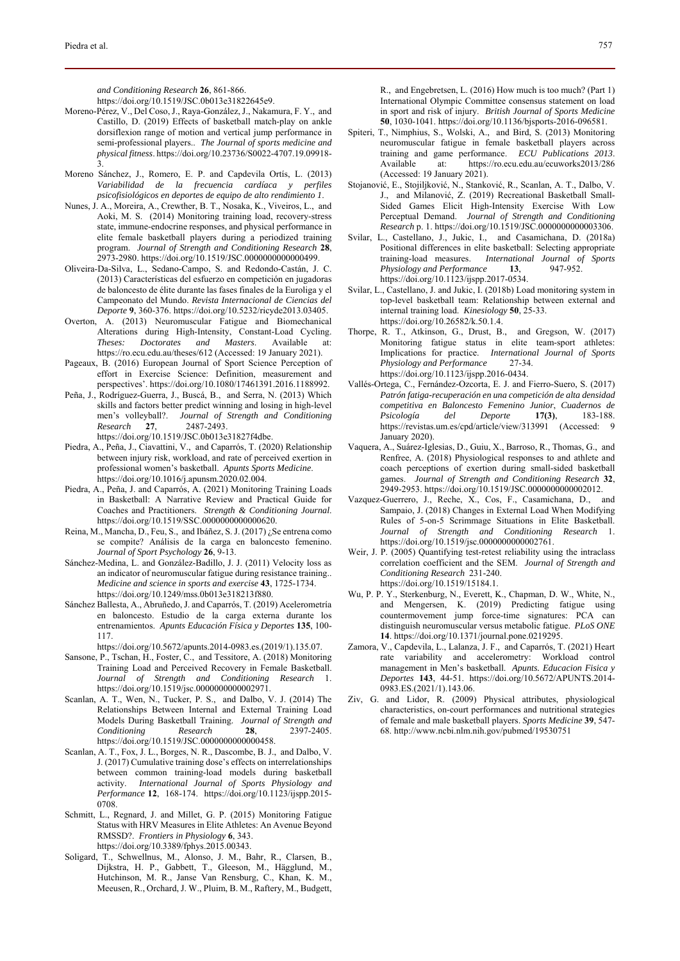*and Conditioning Research* **26**, 861-866.

https://doi.org/10.1519/JSC.0b013e31822645e9.

- Moreno-Pérez, V., Del Coso, J., Raya-González, J., Nakamura, F. Y., and Castillo, D. (2019) Effects of basketball match-play on ankle dorsiflexion range of motion and vertical jump performance in semi-professional players.. *The Journal of sports medicine and physical fitness*. https://doi.org/10.23736/S0022-4707.19.09918- 3.
- Moreno Sánchez, J., Romero, E. P. and Capdevila Ortís, L. (2013) *Variabilidad de la frecuencia cardíaca y perfiles psicofisiológicos en deportes de equipo de alto rendimiento 1*.
- Nunes, J. A., Moreira, A., Crewther, B. T., Nosaka, K., Viveiros, L., and Aoki, M. S. (2014) Monitoring training load, recovery-stress state, immune-endocrine responses, and physical performance in elite female basketball players during a periodized training program. *Journal of Strength and Conditioning Research* **28**, 2973-2980. https://doi.org/10.1519/JSC.0000000000000499.
- Oliveira-Da-Silva, L., Sedano-Campo, S. and Redondo-Castán, J. C. (2013) Características del esfuerzo en competición en jugadoras de baloncesto de élite durante las fases finales de la Euroliga y el Campeonato del Mundo. *Revista Internacional de Ciencias del Deporte* **9**, 360-376. https://doi.org/10.5232/ricyde2013.03405.
- Overton, A. (2013) Neuromuscular Fatigue and Biomechanical Alterations during High-Intensity, Constant-Load Cycling. *Theses: Doctorates and Masters*. Available at: https://ro.ecu.edu.au/theses/612 (Accessed: 19 January 2021).
- Pageaux, B. (2016) European Journal of Sport Science Perception of effort in Exercise Science: Definition, measurement and perspectives'. https://doi.org/10.1080/17461391.2016.1188992.
- Peña, J., Rodríguez-Guerra, J., Buscá, B., and Serra, N. (2013) Which skills and factors better predict winning and losing in high-level men's volleyball?. *Journal of Strength and Conditioning Research* **27**, 2487-2493. https://doi.org/10.1519/JSC.0b013e31827f4dbe.
- Piedra, A., Peña, J., Ciavattini, V., and Caparrós, T. (2020) Relationship between injury risk, workload, and rate of perceived exertion in professional women's basketball. *Apunts Sports Medicine*. https://doi.org/10.1016/j.apunsm.2020.02.004.
- Piedra, A., Peña, J. and Caparrós, A. (2021) Monitoring Training Loads in Basketball: A Narrative Review and Practical Guide for Coaches and Practitioners. *Strength & Conditioning Journal*. https://doi.org/10.1519/SSC.0000000000000620.
- Reina, M., Mancha, D., Feu, S., and Ibáñez, S. J. (2017) ¿Se entrena como se compite? Análisis de la carga en baloncesto femenino. *Journal of Sport Psychology* **26**, 9-13.
- Sánchez-Medina, L. and González-Badillo, J. J. (2011) Velocity loss as an indicator of neuromuscular fatigue during resistance training.. *Medicine and science in sports and exercise* **43**, 1725-1734. https://doi.org/10.1249/mss.0b013e318213f880.
- Sánchez Ballesta, A., Abruñedo, J. and Caparrós, T. (2019) Acelerometría en baloncesto. Estudio de la carga externa durante los entrenamientos. *Apunts Educación Física y Deportes* **135**, 100- 117.
	- https://doi.org/10.5672/apunts.2014-0983.es.(2019/1).135.07.
- Sansone, P., Tschan, H., Foster, C., and Tessitore, A. (2018) Monitoring Training Load and Perceived Recovery in Female Basketball. *Journal of Strength and Conditioning Research* 1. https://doi.org/10.1519/jsc.0000000000002971.
- Scanlan, A. T., Wen, N., Tucker, P. S., and Dalbo, V. J. (2014) The Relationships Between Internal and External Training Load Models During Basketball Training. *Journal of Strength and Conditioning Research* **28**, 2397-2405. https://doi.org/10.1519/JSC.0000000000000458.
- Scanlan, A. T., Fox, J. L., Borges, N. R., Dascombe, B. J., and Dalbo, V. J. (2017) Cumulative training dose's effects on interrelationships between common training-load models during basketball activity. *International Journal of Sports Physiology and Performance* **12**, 168-174. https://doi.org/10.1123/ijspp.2015- 0708.
- Schmitt, L., Regnard, J. and Millet, G. P. (2015) Monitoring Fatigue Status with HRV Measures in Elite Athletes: An Avenue Beyond RMSSD?. *Frontiers in Physiology* **6**, 343. https://doi.org/10.3389/fphys.2015.00343.
- Soligard, T., Schwellnus, M., Alonso, J. M., Bahr, R., Clarsen, B., Dijkstra, H. P., Gabbett, T., Gleeson, M., Hägglund, M., Hutchinson, M. R., Janse Van Rensburg, C., Khan, K. M., Meeusen, R., Orchard, J. W., Pluim, B. M., Raftery, M., Budgett,

R., and Engebretsen, L. (2016) How much is too much? (Part 1) International Olympic Committee consensus statement on load in sport and risk of injury. *British Journal of Sports Medicine* **50**, 1030-1041. https://doi.org/10.1136/bjsports-2016-096581.

- Spiteri, T., Nimphius, S., Wolski, A., and Bird, S. (2013) Monitoring neuromuscular fatigue in female basketball players across training and game performance. *ECU Publications 2013*. Available at: https://ro.ecu.edu.au/ecuworks2013/286 (Accessed: 19 January 2021).
- Stojanović, E., Stojiljković, N., Stanković, R., Scanlan, A. T., Dalbo, V. J., and Milanović, Z. (2019) Recreational Basketball Small-Sided Games Elicit High-Intensity Exercise With Low Perceptual Demand. *Journal of Strength and Conditioning Research* p. 1. https://doi.org/10.1519/JSC.0000000000003306.
- Svilar, L., Castellano, J., Jukic, I., and Casamichana, D. (2018a) Positional differences in elite basketball: Selecting appropriate training-load measures. *International Journal of Sports Physiology and Performance* **13**, 947-952. https://doi.org/10.1123/ijspp.2017-0534.
- Svilar, L., Castellano, J. and Jukic, I. (2018b) Load monitoring system in top-level basketball team: Relationship between external and internal training load. *Kinesiology* **50**, 25-33. https://doi.org/10.26582/k.50.1.4.
- Thorpe, R. T., Atkinson, G., Drust, B., and Gregson, W. (2017) Monitoring fatigue status in elite team-sport athletes: Implications for practice. *International Journal of Sports Physiology and Performance* 27-34. https://doi.org/10.1123/ijspp.2016-0434.
- Vallés-Ortega, C., Fernández-Ozcorta, E. J. and Fierro-Suero, S. (2017) *Patrón fatiga-recuperación en una competición de alta densidad competitiva en Baloncesto Femenino Junior*, *Cuadernos de Psicología del Deporte* **17(3)**, 183-188. https://revistas.um.es/cpd/article/view/313991 (Accessed: 9 January 2020).
- Vaquera, A., Suárez-Iglesias, D., Guiu, X., Barroso, R., Thomas, G., and Renfree, A. (2018) Physiological responses to and athlete and coach perceptions of exertion during small-sided basketball games. *Journal of Strength and Conditioning Research* **32**, 2949-2953. https://doi.org/10.1519/JSC.0000000000002012.
- Vazquez-Guerrero, J., Reche, X., Cos, F., Casamichana, D., and Sampaio, J. (2018) Changes in External Load When Modifying Rules of 5-on-5 Scrimmage Situations in Elite Basketball. *Journal of Strength and Conditioning Research* 1. https://doi.org/10.1519/jsc.0000000000002761.
- Weir, J. P. (2005) Quantifying test-retest reliability using the intraclass correlation coefficient and the SEM. *Journal of Strength and Conditioning Research* 231-240. https://doi.org/10.1519/15184.1.
- Wu, P. P. Y., Sterkenburg, N., Everett, K., Chapman, D. W., White, N., and Mengersen, K. (2019) Predicting fatigue using countermovement jump force-time signatures: PCA can distinguish neuromuscular versus metabolic fatigue. *PLoS ONE* **14**. https://doi.org/10.1371/journal.pone.0219295.
- Zamora, V., Capdevila, L., Lalanza, J. F., and Caparrós, T. (2021) Heart rate variability and accelerometry: Workload control management in Men's basketball. *Apunts. Educacion Fisica y Deportes* **143**, 44-51. https://doi.org/10.5672/APUNTS.2014- 0983.ES.(2021/1).143.06.
- Ziv, G. and Lidor, R. (2009) Physical attributes, physiological characteristics, on-court performances and nutritional strategies of female and male basketball players. *Sports Medicine* **39**, 547- 68. http://www.ncbi.nlm.nih.gov/pubmed/19530751